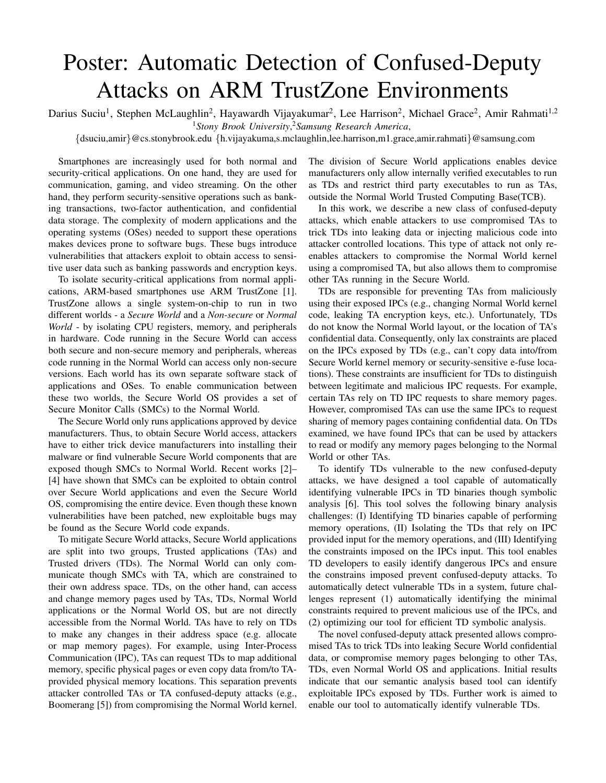## Poster: Automatic Detection of Confused-Deputy Attacks on ARM TrustZone Environments

Darius Suciu<sup>1</sup>, Stephen McLaughlin<sup>2</sup>, Hayawardh Vijayakumar<sup>2</sup>, Lee Harrison<sup>2</sup>, Michael Grace<sup>2</sup>, Amir Rahmati<sup>1,2</sup> <sup>1</sup>*Stony Brook University*, <sup>2</sup>*Samsung Research America*,

{dsuciu,amir}@cs.stonybrook.edu {h.vijayakuma,s.mclaughlin,lee.harrison,m1.grace,amir.rahmati}@samsung.com

Smartphones are increasingly used for both normal and security-critical applications. On one hand, they are used for communication, gaming, and video streaming. On the other hand, they perform security-sensitive operations such as banking transactions, two-factor authentication, and confidential data storage. The complexity of modern applications and the operating systems (OSes) needed to support these operations makes devices prone to software bugs. These bugs introduce vulnerabilities that attackers exploit to obtain access to sensitive user data such as banking passwords and encryption keys.

To isolate security-critical applications from normal applications, ARM-based smartphones use ARM TrustZone [1]. TrustZone allows a single system-on-chip to run in two different worlds - a *Secure World* and a *Non-secure* or *Normal World* - by isolating CPU registers, memory, and peripherals in hardware. Code running in the Secure World can access both secure and non-secure memory and peripherals, whereas code running in the Normal World can access only non-secure versions. Each world has its own separate software stack of applications and OSes. To enable communication between these two worlds, the Secure World OS provides a set of Secure Monitor Calls (SMCs) to the Normal World.

The Secure World only runs applications approved by device manufacturers. Thus, to obtain Secure World access, attackers have to either trick device manufacturers into installing their malware or find vulnerable Secure World components that are exposed though SMCs to Normal World. Recent works [2]– [4] have shown that SMCs can be exploited to obtain control over Secure World applications and even the Secure World OS, compromising the entire device. Even though these known vulnerabilities have been patched, new exploitable bugs may be found as the Secure World code expands.

To mitigate Secure World attacks, Secure World applications are split into two groups, Trusted applications (TAs) and Trusted drivers (TDs). The Normal World can only communicate though SMCs with TA, which are constrained to their own address space. TDs, on the other hand, can access and change memory pages used by TAs, TDs, Normal World applications or the Normal World OS, but are not directly accessible from the Normal World. TAs have to rely on TDs to make any changes in their address space (e.g. allocate or map memory pages). For example, using Inter-Process Communication (IPC), TAs can request TDs to map additional memory, specific physical pages or even copy data from/to TAprovided physical memory locations. This separation prevents attacker controlled TAs or TA confused-deputy attacks (e.g., Boomerang [5]) from compromising the Normal World kernel. The division of Secure World applications enables device manufacturers only allow internally verified executables to run as TDs and restrict third party executables to run as TAs, outside the Normal World Trusted Computing Base(TCB).

In this work, we describe a new class of confused-deputy attacks, which enable attackers to use compromised TAs to trick TDs into leaking data or injecting malicious code into attacker controlled locations. This type of attack not only reenables attackers to compromise the Normal World kernel using a compromised TA, but also allows them to compromise other TAs running in the Secure World.

TDs are responsible for preventing TAs from maliciously using their exposed IPCs (e.g., changing Normal World kernel code, leaking TA encryption keys, etc.). Unfortunately, TDs do not know the Normal World layout, or the location of TA's confidential data. Consequently, only lax constraints are placed on the IPCs exposed by TDs (e.g., can't copy data into/from Secure World kernel memory or security-sensitive e-fuse locations). These constraints are insufficient for TDs to distinguish between legitimate and malicious IPC requests. For example, certain TAs rely on TD IPC requests to share memory pages. However, compromised TAs can use the same IPCs to request sharing of memory pages containing confidential data. On TDs examined, we have found IPCs that can be used by attackers to read or modify any memory pages belonging to the Normal World or other TAs.

To identify TDs vulnerable to the new confused-deputy attacks, we have designed a tool capable of automatically identifying vulnerable IPCs in TD binaries though symbolic analysis [6]. This tool solves the following binary analysis challenges: (I) Identifying TD binaries capable of performing memory operations, (II) Isolating the TDs that rely on IPC provided input for the memory operations, and (III) Identifying the constraints imposed on the IPCs input. This tool enables TD developers to easily identify dangerous IPCs and ensure the constrains imposed prevent confused-deputy attacks. To automatically detect vulnerable TDs in a system, future challenges represent (1) automatically identifying the minimal constraints required to prevent malicious use of the IPCs, and (2) optimizing our tool for efficient TD symbolic analysis.

The novel confused-deputy attack presented allows compromised TAs to trick TDs into leaking Secure World confidential data, or compromise memory pages belonging to other TAs, TDs, even Normal World OS and applications. Initial results indicate that our semantic analysis based tool can identify exploitable IPCs exposed by TDs. Further work is aimed to enable our tool to automatically identify vulnerable TDs.